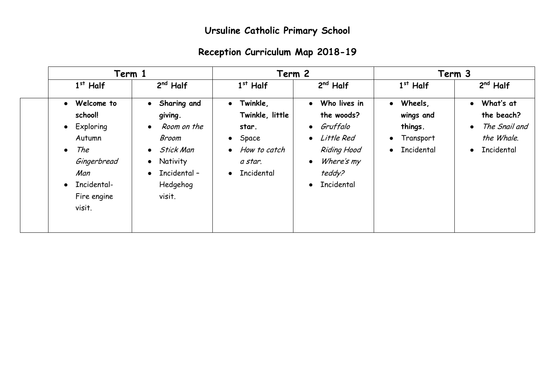## **Ursuline Catholic Primary School**

## **Reception Curriculum Map 2018-19**

|                                                                                                                                                 | Term 1                                                                                                                                                                            |                                                                                                        | Term 2                                                                                                                                                               |                                                                                                   | Term 3                                                                                                      |  |
|-------------------------------------------------------------------------------------------------------------------------------------------------|-----------------------------------------------------------------------------------------------------------------------------------------------------------------------------------|--------------------------------------------------------------------------------------------------------|----------------------------------------------------------------------------------------------------------------------------------------------------------------------|---------------------------------------------------------------------------------------------------|-------------------------------------------------------------------------------------------------------------|--|
| $1st$ Half                                                                                                                                      | $2nd$ Half                                                                                                                                                                        | $1st$ Half                                                                                             | $2nd$ Half                                                                                                                                                           | $1st$ Half                                                                                        | $2nd$ Half                                                                                                  |  |
| Welcome to<br>$\bullet$<br>school!<br>• Exploring<br>Autumn<br>The<br>$\bullet$<br>Gingerbread<br>Man<br>• Incidental-<br>Fire engine<br>visit. | Sharing and<br>$\bullet$<br>giving.<br>Room on the<br>$\bullet$<br>Broom<br><b>Stick Man</b><br>$\bullet$<br><b>Nativity</b><br>$\bullet$<br>• Incidental -<br>Hedgehog<br>visit. | • Twinkle,<br>Twinkle, little<br>star.<br>$\bullet$ Space<br>• How to catch<br>a star.<br>• Incidental | Who lives in<br>$\bullet$<br>the woods?<br>Gruffalo<br>$\bullet$<br>Little Red<br>$\bullet$<br><b>Riding Hood</b><br>Where's my<br>teddy?<br>Incidental<br>$\bullet$ | Wheels,<br>$\bullet$<br>wings and<br>things.<br>Transport<br>$\bullet$<br>Incidental<br>$\bullet$ | What's at<br>$\bullet$<br>the beach?<br>The Snail and<br>$\bullet$<br>the Whale.<br>Incidental<br>$\bullet$ |  |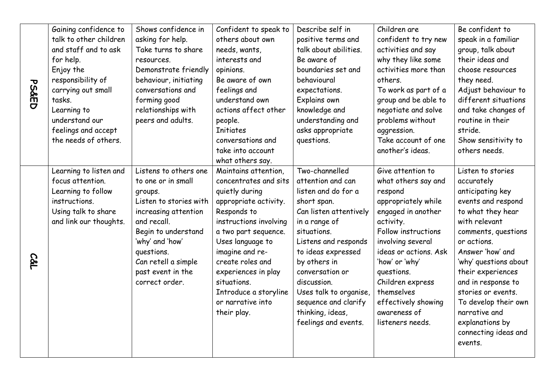|                  | Gaining confidence to  | Shows confidence in    | Confident to speak to  | Describe self in       | Children are          | Be confident to       |
|------------------|------------------------|------------------------|------------------------|------------------------|-----------------------|-----------------------|
|                  | talk to other children | asking for help.       | others about own       | positive terms and     | confident to try new  | speak in a familiar   |
|                  | and staff and to ask   | Take turns to share    | needs, wants,          | talk about abilities.  | activities and say    | group, talk about     |
|                  | for help.              | resources.             | interests and          | Be aware of            | why they like some    | their ideas and       |
|                  | Enjoy the              | Demonstrate friendly   | opinions.              | boundaries set and     | activities more than  | choose resources      |
|                  | responsibility of      | behaviour, initiating  | Be aware of own        | behavioural            | others.               | they need.            |
| <b>PS&amp;ED</b> | carrying out small     | conversations and      | feelings and           | expectations.          | To work as part of a  | Adjust behaviour to   |
|                  | tasks.                 | forming good           | understand own         | Explains own           | group and be able to  | different situations  |
|                  | Learning to            | relationships with     | actions affect other   | knowledge and          | negotiate and solve   | and take changes of   |
|                  | understand our         | peers and adults.      | people.                | understanding and      | problems without      | routine in their      |
|                  | feelings and accept    |                        | <b>Initiates</b>       | asks appropriate       | aggression.           | stride.               |
|                  | the needs of others.   |                        | conversations and      | questions.             | Take account of one   | Show sensitivity to   |
|                  |                        |                        | take into account      |                        | another's ideas.      | others needs.         |
|                  |                        |                        | what others say.       |                        |                       |                       |
|                  | Learning to listen and | Listens to others one  | Maintains attention,   | Two-channelled         | Give attention to     | Listen to stories     |
|                  | focus attention.       | to one or in small     | concentrates and sits  | attention and can      | what others say and   | accurately            |
|                  | Learning to follow     | groups.                | quietly during         | listen and do for a    | respond               | anticipating key      |
|                  | instructions.          | Listen to stories with | appropriate activity.  | short span.            | appropriately while   | events and respond    |
|                  | Using talk to share    | increasing attention   | Responds to            | Can listen attentively | engaged in another    | to what they hear     |
|                  | and link our thoughts. | and recall.            | instructions involving | in a range of          | activity.             | with relevant         |
|                  |                        | Begin to understand    | a two part sequence.   | situations.            | Follow instructions   | comments, questions   |
|                  |                        | 'why' and 'how'        | Uses language to       | Listens and responds   | involving several     | or actions.           |
|                  |                        | questions.             | imagine and re-        | to ideas expressed     | ideas or actions. Ask | Answer 'how' and      |
| <b>C&amp;L</b>   |                        | Can retell a simple    | create roles and       | by others in           | 'how' or 'why'        | 'why' questions about |
|                  |                        | past event in the      | experiences in play    | conversation or        | questions.            | their experiences     |
|                  |                        | correct order.         | situations.            | discussion.            | Children express      | and in response to    |
|                  |                        |                        | Introduce a storyline  | Uses talk to organise, | themselves            | stories or events.    |
|                  |                        |                        | or narrative into      | sequence and clarify   | effectively showing   | To develop their own  |
|                  |                        |                        | their play.            | thinking, ideas,       | awareness of          | narrative and         |
|                  |                        |                        |                        | feelings and events.   | listeners needs.      | explanations by       |
|                  |                        |                        |                        |                        |                       | connecting ideas and  |
|                  |                        |                        |                        |                        |                       | events.               |
|                  |                        |                        |                        |                        |                       |                       |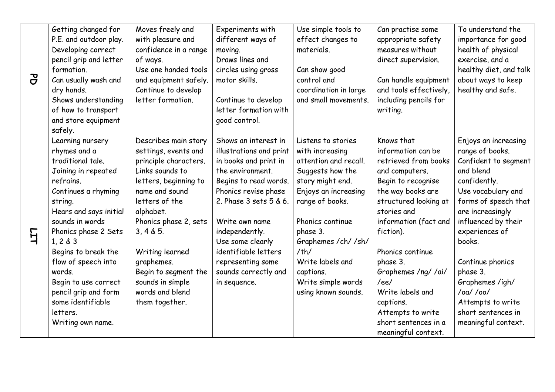|                | Getting changed for    | Moves freely and      | Experiments with        | Use simple tools to   | Can practise some      | To understand the      |
|----------------|------------------------|-----------------------|-------------------------|-----------------------|------------------------|------------------------|
|                | P.E. and outdoor play. | with pleasure and     | different ways of       | effect changes to     | appropriate safety     | importance for good    |
|                | Developing correct     | confidence in a range | moving.                 | materials.            | measures without       | health of physical     |
|                | pencil grip and letter | of ways.              | Draws lines and         |                       | direct supervision.    | exercise, and a        |
|                | formation.             | Use one handed tools  | circles using gross     | Can show good         |                        | healthy diet, and talk |
| $\overline{c}$ | Can usually wash and   | and equipment safely. | motor skills.           | control and           | Can handle equipment   | about ways to keep     |
|                | dry hands.             | Continue to develop   |                         | coordination in large | and tools effectively, | healthy and safe.      |
|                | Shows understanding    | letter formation.     | Continue to develop     | and small movements.  | including pencils for  |                        |
|                | of how to transport    |                       | letter formation with   |                       | writing.               |                        |
|                | and store equipment    |                       | good control.           |                       |                        |                        |
|                | safely.                |                       |                         |                       |                        |                        |
|                | Learning nursery       | Describes main story  | Shows an interest in    | Listens to stories    | Knows that             | Enjoys an increasing   |
|                | rhymes and a           | settings, events and  | illustrations and print | with increasing       | information can be     | range of books.        |
|                | traditional tale.      | principle characters. | in books and print in   | attention and recall. | retrieved from books   | Confident to segment   |
|                | Joining in repeated    | Links sounds to       | the environment.        | Suggests how the      | and computers.         | and blend              |
|                | refrains.              | letters, beginning to | Begins to read words.   | story might end.      | Begin to recognise     | confidently.           |
|                | Continues a rhyming    | name and sound        | Phonics revise phase    | Enjoys an increasing  | the way books are      | Use vocabulary and     |
|                | string.                | letters of the        | 2. Phase 3 sets 5 & 6.  | range of books.       | structured looking at  | forms of speech that   |
|                | Hears and says initial | alphabet.             |                         |                       | stories and            | are increasingly       |
|                | sounds in words        | Phonics phase 2, sets | Write own name          | Phonics continue      | information (fact and  | influenced by their    |
| $\overline{H}$ | Phonics phase 2 Sets   | 3, 4 & 5.             | independently.          | phase 3.              | fiction).              | experiences of         |
|                | 1, 2 & 3               |                       | Use some clearly        | Graphemes / ch/ / sh/ |                        | books.                 |
|                | Begins to break the    | Writing learned       | identifiable letters    | /th/                  | Phonics continue       |                        |
|                | flow of speech into    | graphemes.            | representing some       | Write labels and      | phase 3.               | Continue phonics       |
|                | words.                 | Begin to segment the  | sounds correctly and    | captions.             | Graphemes /ng/ /ai/    | phase 3.               |
|                | Begin to use correct   | sounds in simple      | in sequence.            | Write simple words    | /ee/                   | Graphemes /igh/        |
|                | pencil grip and form   | words and blend       |                         | using known sounds.   | Write labels and       | $/oa/$ /oo/            |
|                | some identifiable      | them together.        |                         |                       | captions.              | Attempts to write      |
|                | letters.               |                       |                         |                       | Attempts to write      | short sentences in     |
|                | Writing own name.      |                       |                         |                       | short sentences in a   | meaningful context.    |
|                |                        |                       |                         |                       | meaningful context.    |                        |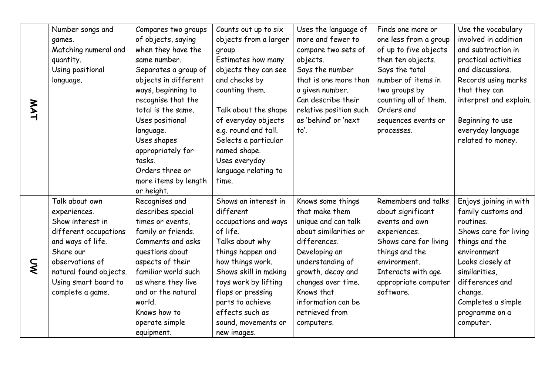|     | Number songs and       | Compares two groups  | Counts out up to six  | Uses the language of   | Finds one more or     | Use the vocabulary     |
|-----|------------------------|----------------------|-----------------------|------------------------|-----------------------|------------------------|
|     | games.                 | of objects, saying   | objects from a larger | more and fewer to      | one less from a group | involved in addition   |
|     | Matching numeral and   | when they have the   | group.                | compare two sets of    | of up to five objects | and subtraction in     |
|     | quantity.              | same number.         | Estimates how many    | objects.               | then ten objects.     | practical activities   |
|     | Using positional       | Separates a group of | objects they can see  | Says the number        | Says the total        | and discussions.       |
|     | language.              | objects in different | and checks by         | that is one more than  | number of items in    | Records using marks    |
|     |                        | ways, beginning to   | counting them.        | a given number.        | two groups by         | that they can          |
|     |                        | recognise that the   |                       | Can describe their     | counting all of them. | interpret and explain. |
| MAT |                        | total is the same.   | Talk about the shape  | relative position such | Orders and            |                        |
|     |                        | Uses positional      | of everyday objects   | as 'behind' or 'next   | sequences events or   | Beginning to use       |
|     |                        | language.            | e.g. round and tall.  | to'.                   | processes.            | everyday language      |
|     |                        | Uses shapes          | Selects a particular  |                        |                       | related to money.      |
|     |                        | appropriately for    | named shape.          |                        |                       |                        |
|     |                        | tasks.               | Uses everyday         |                        |                       |                        |
|     |                        | Orders three or      | language relating to  |                        |                       |                        |
|     |                        | more items by length | time.                 |                        |                       |                        |
|     |                        | or height.           |                       |                        |                       |                        |
|     | Talk about own         | Recognises and       | Shows an interest in  | Knows some things      | Remembers and talks   | Enjoys joining in with |
|     | experiences.           | describes special    | different             | that make them         | about significant     | family customs and     |
|     | Show interest in       | times or events,     | occupations and ways  | unique and can talk    | events and own        | routines.              |
|     | different occupations  | family or friends.   | of life.              | about similarities or  | experiences.          | Shows care for living  |
|     | and ways of life.      | Comments and asks    | Talks about why       | differences.           | Shows care for living | things and the         |
|     | Share our              | questions about      | things happen and     | Developing an          | things and the        | environment            |
| Ş   | observations of        | aspects of their     | how things work.      | understanding of       | environment.          | Looks closely at       |
|     | natural found objects. | familiar world such  | Shows skill in making | growth, decay and      | Interacts with age    | similarities,          |
|     | Using smart board to   | as where they live   | toys work by lifting  | changes over time.     | appropriate computer  | differences and        |
|     | complete a game.       | and or the natural   | flaps or pressing     | Knows that             | software.             | change.                |
|     |                        | world.               | parts to achieve      | information can be     |                       | Completes a simple     |
|     |                        | Knows how to         | effects such as       | retrieved from         |                       | programme on a         |
|     |                        | operate simple       | sound, movements or   | computers.             |                       | computer.              |
|     |                        | equipment.           | new images.           |                        |                       |                        |